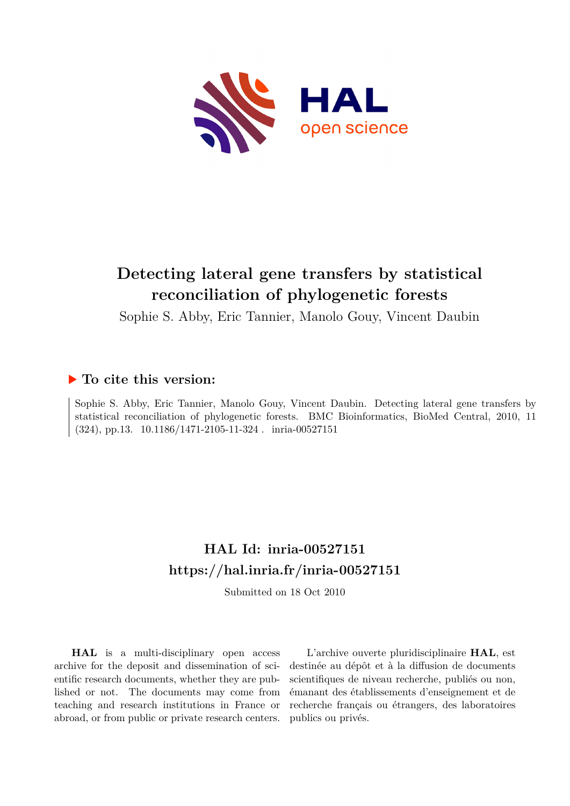

# **Detecting lateral gene transfers by statistical reconciliation of phylogenetic forests**

Sophie S. Abby, Eric Tannier, Manolo Gouy, Vincent Daubin

# **To cite this version:**

Sophie S. Abby, Eric Tannier, Manolo Gouy, Vincent Daubin. Detecting lateral gene transfers by statistical reconciliation of phylogenetic forests. BMC Bioinformatics, BioMed Central, 2010, 11 (324), pp.13.  $10.1186/1471-2105-11-324$ . inria-00527151

# **HAL Id: inria-00527151 <https://hal.inria.fr/inria-00527151>**

Submitted on 18 Oct 2010

**HAL** is a multi-disciplinary open access archive for the deposit and dissemination of scientific research documents, whether they are published or not. The documents may come from teaching and research institutions in France or abroad, or from public or private research centers.

L'archive ouverte pluridisciplinaire **HAL**, est destinée au dépôt et à la diffusion de documents scientifiques de niveau recherche, publiés ou non, émanant des établissements d'enseignement et de recherche français ou étrangers, des laboratoires publics ou privés.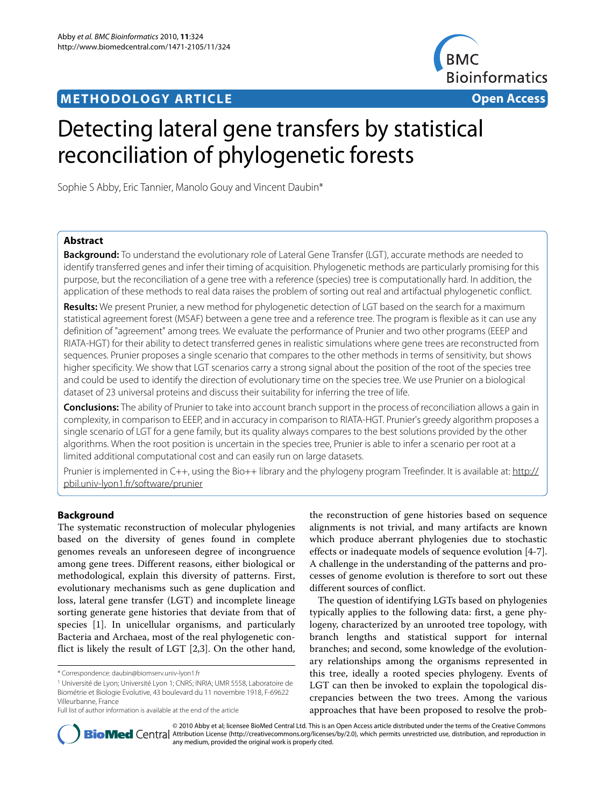# **METHODOLOGY ARTICLE Open Access**



# Detecting lateral gene transfers by statistical reconciliation of phylogenetic forests

Sophie S Abby, Eric Tannier, Manolo Gouy and Vincent Daubin\*

# **Abstract**

**Background:** To understand the evolutionary role of Lateral Gene Transfer (LGT), accurate methods are needed to identify transferred genes and infer their timing of acquisition. Phylogenetic methods are particularly promising for this purpose, but the reconciliation of a gene tree with a reference (species) tree is computationally hard. In addition, the application of these methods to real data raises the problem of sorting out real and artifactual phylogenetic conflict.

**Results:** We present Prunier, a new method for phylogenetic detection of LGT based on the search for a maximum statistical agreement forest (MSAF) between a gene tree and a reference tree. The program is flexible as it can use any definition of "agreement" among trees. We evaluate the performance of Prunier and two other programs (EEEP and RIATA-HGT) for their ability to detect transferred genes in realistic simulations where gene trees are reconstructed from sequences. Prunier proposes a single scenario that compares to the other methods in terms of sensitivity, but shows higher specificity. We show that LGT scenarios carry a strong signal about the position of the root of the species tree and could be used to identify the direction of evolutionary time on the species tree. We use Prunier on a biological dataset of 23 universal proteins and discuss their suitability for inferring the tree of life.

**Conclusions:** The ability of Prunier to take into account branch support in the process of reconciliation allows a gain in complexity, in comparison to EEEP, and in accuracy in comparison to RIATA-HGT. Prunier's greedy algorithm proposes a single scenario of LGT for a gene family, but its quality always compares to the best solutions provided by the other algorithms. When the root position is uncertain in the species tree, Prunier is able to infer a scenario per root at a limited additional computational cost and can easily run on large datasets.

Prunier is implemented in C++, using the Bio++ library and the phylogeny program Treefinder. It is available at: [http://](http://pbil.univ-lyon1.fr/software/prunier) [pbil.univ-lyon1.fr/software/prunier](http://pbil.univ-lyon1.fr/software/prunier)

# **Background**

The systematic reconstruction of molecular phylogenies based on the diversity of genes found in complete genomes reveals an unforeseen degree of incongruence among gene trees. Different reasons, either biological or methodological, explain this diversity of patterns. First, evolutionary mechanisms such as gene duplication and loss, lateral gene transfer (LGT) and incomplete lineage sorting generate gene histories that deviate from that of species [1]. In unicellular organisms, and particularly Bacteria and Archaea, most of the real phylogenetic conflict is likely the result of LGT [2,3]. On the other hand,

the reconstruction of gene histories based on sequence alignments is not trivial, and many artifacts are known which produce aberrant phylogenies due to stochastic effects or inadequate models of sequence evolution [4-7]. A challenge in the understanding of the patterns and processes of genome evolution is therefore to sort out these different sources of conflict.

The question of identifying LGTs based on phylogenies typically applies to the following data: first, a gene phylogeny, characterized by an unrooted tree topology, with branch lengths and statistical support for internal branches; and second, some knowledge of the evolutionary relationships among the organisms represented in this tree, ideally a rooted species phylogeny. Events of LGT can then be invoked to explain the topological discrepancies between the two trees. Among the various approaches that have been proposed to resolve the prob-



© 2010 Abby et al; licensee BioMed Central Ltd. This is an Open Access article distributed under the terms of the Creative Commons Bio Med Central Attribution License (http://creativecommons.org/licenses/by/2.0), which permits unrestricted use, distribution, and reproduction in any medium, provided the original work is properly cited.

<sup>\*</sup> Correspondence: daubin@biomserv.univ-lyon1.fr

<sup>1</sup> Université de Lyon; Université Lyon 1; CNRS; INRIA; UMR 5558, Laboratoire de Biométrie et Biologie Evolutive, 43 boulevard du 11 novembre 1918, F-69622 Villeurbanne, France

Full list of author information is available at the end of the article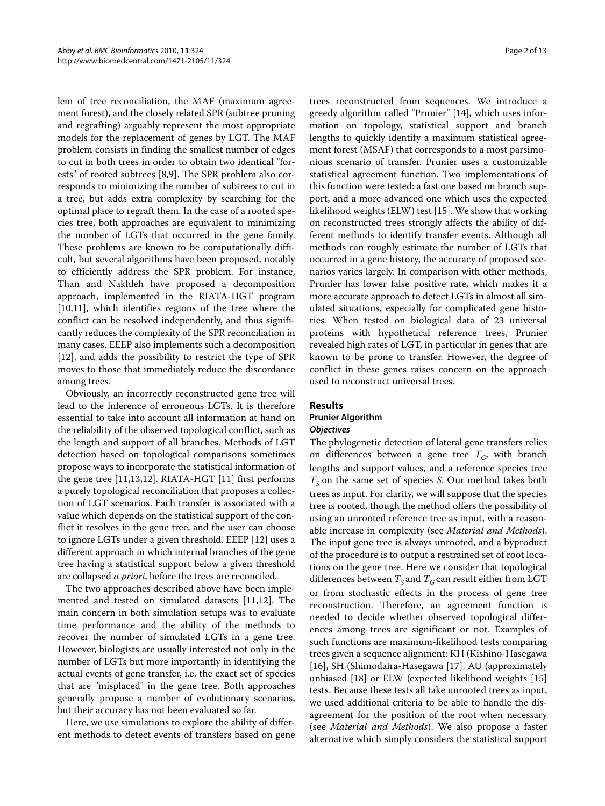lem of tree reconciliation, the MAF (maximum agreement forest), and the closely related SPR (subtree pruning and regrafting) arguably represent the most appropriate models for the replacement of genes by LGT. The MAF problem consists in finding the smallest number of edges to cut in both trees in order to obtain two identical "forests" of rooted subtrees [8,9]. The SPR problem also corresponds to minimizing the number of subtrees to cut in a tree, but adds extra complexity by searching for the optimal place to regraft them. In the case of a rooted species tree, both approaches are equivalent to minimizing the number of LGTs that occurred in the gene family. These problems are known to be computationally difficult, but several algorithms have been proposed, notably to efficiently address the SPR problem. For instance, Than and Nakhleh have proposed a decomposition approach, implemented in the RIATA-HGT program [10,11], which identifies regions of the tree where the conflict can be resolved independently, and thus significantly reduces the complexity of the SPR reconciliation in many cases. EEEP also implements such a decomposition [12], and adds the possibility to restrict the type of SPR moves to those that immediately reduce the discordance among trees.

Obviously, an incorrectly reconstructed gene tree will lead to the inference of erroneous LGTs. It is therefore essential to take into account all information at hand on the reliability of the observed topological conflict, such as the length and support of all branches. Methods of LGT detection based on topological comparisons sometimes propose ways to incorporate the statistical information of the gene tree [11,13,12]. RIATA-HGT [11] first performs a purely topological reconciliation that proposes a collection of LGT scenarios. Each transfer is associated with a value which depends on the statistical support of the conflict it resolves in the gene tree, and the user can choose to ignore LGTs under a given threshold. EEEP [12] uses a different approach in which internal branches of the gene tree having a statistical support below a given threshold are collapsed a priori, before the trees are reconciled.

The two approaches described above have been implemented and tested on simulated datasets [11,12]. The main concern in both simulation setups was to evaluate time performance and the ability of the methods to recover the number of simulated LGTs in a gene tree. However, biologists are usually interested not only in the number of LGTs but more importantly in identifying the actual events of gene transfer, i.e. the exact set of species that are "misplaced" in the gene tree. Both approaches generally propose a number of evolutionary scenarios, but their accuracy has not been evaluated so far.

Here, we use simulations to explore the ability of different methods to detect events of transfers based on gene

trees reconstructed from sequences. We introduce a greedy algorithm called "Prunier" [14], which uses information on topology, statistical support and branch lengths to quickly identify a maximum statistical agreement forest (MSAF) that corresponds to a most parsimonious scenario of transfer. Prunier uses a customizable statistical agreement function. Two implementations of this function were tested: a fast one based on branch support, and a more advanced one which uses the expected likelihood weights (ELW) test [15]. We show that working on reconstructed trees strongly affects the ability of different methods to identify transfer events. Although all methods can roughly estimate the number of LGTs that occurred in a gene history, the accuracy of proposed scenarios varies largely. In comparison with other methods, Prunier has lower false positive rate, which makes it a more accurate approach to detect LGTs in almost all simulated situations, especially for complicated gene histories. When tested on biological data of 23 universal proteins with hypothetical reference trees, Prunier revealed high rates of LGT, in particular in genes that are known to be prone to transfer. However, the degree of conflict in these genes raises concern on the approach used to reconstruct universal trees.

# **Results Prunier Algorithm** *Objectives*

The phylogenetic detection of lateral gene transfers relies on differences between a gene tree  $T_G$ , with branch lengths and support values, and a reference species tree  $T<sub>S</sub>$  on the same set of species S. Our method takes both trees as input. For clarity, we will suppose that the species tree is rooted, though the method offers the possibility of using an unrooted reference tree as input, with a reasonable increase in complexity (see Material and Methods). The input gene tree is always unrooted, and a byproduct of the procedure is to output a restrained set of root locations on the gene tree. Here we consider that topological differences between  $T_S$  and  $T_G$  can result either from LGT or from stochastic effects in the process of gene tree reconstruction. Therefore, an agreement function is needed to decide whether observed topological differences among trees are significant or not. Examples of such functions are maximum-likelihood tests comparing trees given a sequence alignment: KH (Kishino-Hasegawa [16], SH (Shimodaira-Hasegawa [17], AU (approximately unbiased [18] or ELW (expected likelihood weights [15] tests. Because these tests all take unrooted trees as input, we used additional criteria to be able to handle the disagreement for the position of the root when necessary (see Material and Methods). We also propose a faster alternative which simply considers the statistical support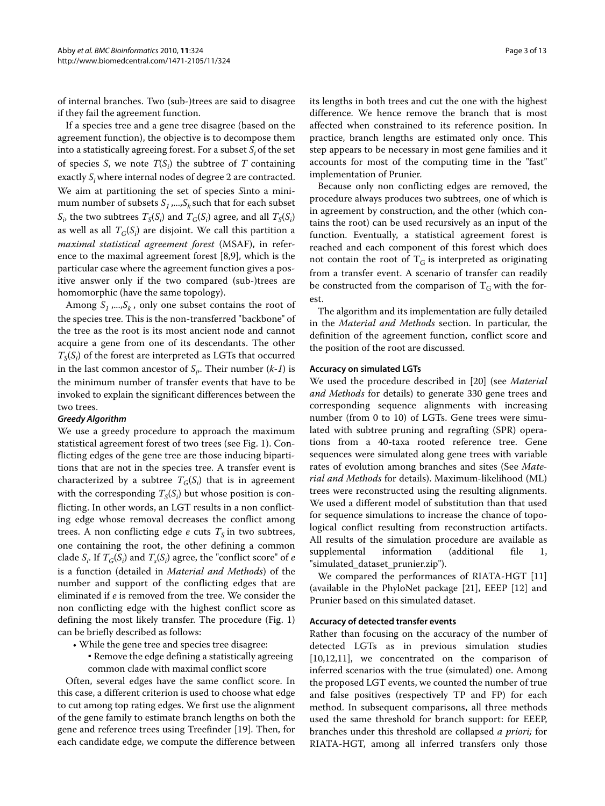of internal branches. Two (sub-)trees are said to disagree if they fail the agreement function.

If a species tree and a gene tree disagree (based on the agreement function), the objective is to decompose them into a statistically agreeing forest. For a subset  $S_i$  of the set of species S, we note  $T(S_i)$  the subtree of T containing exactly  $S_i$ , where internal nodes of degree 2 are contracted. We aim at partitioning the set of species Sinto a minimum number of subsets  $S_1$ ,..., $S_k$  such that for each subset  $S_i$ , the two subtrees  $T_{S}(S_i)$  and  $T_{G}(S_i)$  agree, and all  $T_{S}(S_i)$ as well as all  $T_G(S_i)$  are disjoint. We call this partition a maximal statistical agreement forest (MSAF), in reference to the maximal agreement forest [8,9], which is the particular case where the agreement function gives a positive answer only if the two compared (sub-)trees are homomorphic (have the same topology).

Among  $S_1$ ,..., $S_k$ , only one subset contains the root of the species tree. This is the non-transferred "backbone" of the tree as the root is its most ancient node and cannot acquire a gene from one of its descendants. The other  $T_S(S_i)$  of the forest are interpreted as LGTs that occurred in the last common ancestor of  $S_i$ . Their number (k-1) is the minimum number of transfer events that have to be invoked to explain the significant differences between the two trees.

#### *Greedy Algorithm*

We use a greedy procedure to approach the maximum statistical agreement forest of two trees (see Fig. 1). Conflicting edges of the gene tree are those inducing bipartitions that are not in the species tree. A transfer event is characterized by a subtree  $T_G(S_i)$  that is in agreement with the corresponding  $T_{\mathcal{S}}(S_i)$  but whose position is conflicting. In other words, an LGT results in a non conflicting edge whose removal decreases the conflict among trees. A non conflicting edge  $e$  cuts  $T<sub>S</sub>$  in two subtrees, one containing the root, the other defining a common clade  $S_i$ . If  $T_G(S_i)$  and  $T_s(S_i)$  agree, the "conflict score" of  $e$ is a function (detailed in Material and Methods) of the number and support of the conflicting edges that are eliminated if e is removed from the tree. We consider the non conflicting edge with the highest conflict score as defining the most likely transfer. The procedure (Fig. 1) can be briefly described as follows:

- While the gene tree and species tree disagree:
	- Remove the edge defining a statistically agreeing
	- common clade with maximal conflict score

Often, several edges have the same conflict score. In this case, a different criterion is used to choose what edge to cut among top rating edges. We first use the alignment of the gene family to estimate branch lengths on both the gene and reference trees using Treefinder [19]. Then, for each candidate edge, we compute the difference between its lengths in both trees and cut the one with the highest difference. We hence remove the branch that is most affected when constrained to its reference position. In practice, branch lengths are estimated only once. This step appears to be necessary in most gene families and it accounts for most of the computing time in the "fast" implementation of Prunier.

Because only non conflicting edges are removed, the procedure always produces two subtrees, one of which is in agreement by construction, and the other (which contains the root) can be used recursively as an input of the function. Eventually, a statistical agreement forest is reached and each component of this forest which does not contain the root of  $T<sub>G</sub>$  is interpreted as originating from a transfer event. A scenario of transfer can readily be constructed from the comparison of  $T_G$  with the forest.

The algorithm and its implementation are fully detailed in the Material and Methods section. In particular, the definition of the agreement function, conflict score and the position of the root are discussed.

#### **Accuracy on simulated LGTs**

We used the procedure described in [20] (see Material and Methods for details) to generate 330 gene trees and corresponding sequence alignments with increasing number (from 0 to 10) of LGTs. Gene trees were simulated with subtree pruning and regrafting (SPR) operations from a 40-taxa rooted reference tree. Gene sequences were simulated along gene trees with variable rates of evolution among branches and sites (See Material and Methods for details). Maximum-likelihood (ML) trees were reconstructed using the resulting alignments. We used a different model of substitution than that used for sequence simulations to increase the chance of topological conflict resulting from reconstruction artifacts. All results of the simulation procedure are available as supplemental information (additional file 1, "simulated\_dataset\_prunier.zip").

We compared the performances of RIATA-HGT [11] (available in the PhyloNet package [21], EEEP [12] and Prunier based on this simulated dataset.

#### **Accuracy of detected transfer events**

Rather than focusing on the accuracy of the number of detected LGTs as in previous simulation studies [10,12,11], we concentrated on the comparison of inferred scenarios with the true (simulated) one. Among the proposed LGT events, we counted the number of true and false positives (respectively TP and FP) for each method. In subsequent comparisons, all three methods used the same threshold for branch support: for EEEP, branches under this threshold are collapsed a priori; for RIATA-HGT, among all inferred transfers only those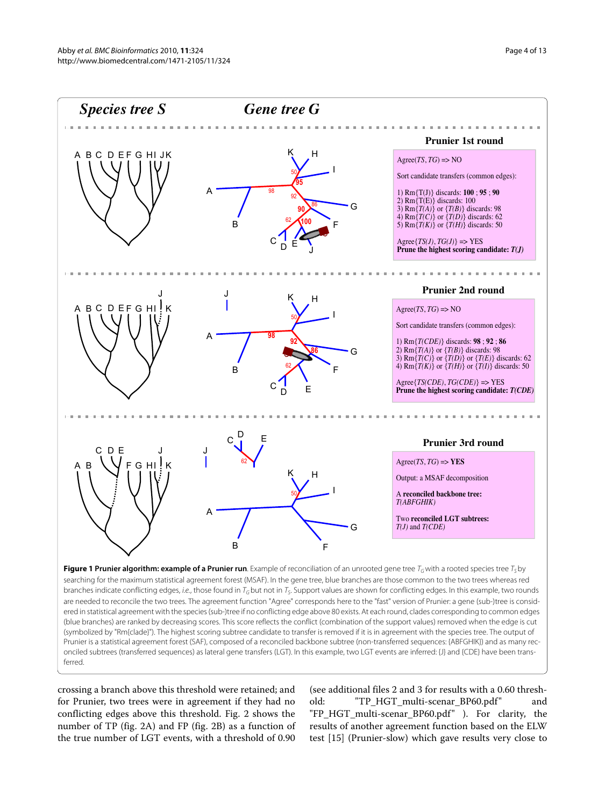

**Figure 1 Prunier algorithm: example of a Prunier run**. Example of reconciliation of an unrooted gene tree  $T_c$  with a rooted species tree  $T_c$  by searching for the maximum statistical agreement forest (MSAF). In the gene tree, blue branches are those common to the two trees whereas red branches indicate conflicting edges, i.e., those found in  $T_G$  but not in  $T_S$ . Support values are shown for conflicting edges. In this example, two rounds are needed to reconcile the two trees. The agreement function "Agree" corresponds here to the "fast" version of Prunier: a gene (sub-)tree is considered in statistical agreement with the species (sub-)tree if no conflicting edge above 80 exists. At each round, clades corresponding to common edges (blue branches) are ranked by decreasing scores. This score reflects the conflict (combination of the support values) removed when the edge is cut (symbolized by "Rm{clade}"). The highest scoring subtree candidate to transfer is removed if it is in agreement with the species tree. The output of Prunier is a statistical agreement forest (SAF), composed of a reconciled backbone subtree (non-transferred sequences: {ABFGHIK}) and as many reconciled subtrees (transferred sequences) as lateral gene transfers (LGT). In this example, two LGT events are inferred: {J} and {CDE} have been transferred.

crossing a branch above this threshold were retained; and for Prunier, two trees were in agreement if they had no conflicting edges above this threshold. Fig. 2 shows the number of TP (fig. 2A) and FP (fig. 2B) as a function of the true number of LGT events, with a threshold of 0.90

(see additional files 2 and 3 for results with a 0.60 threshold: "TP\_HGT\_multi-scenar\_BP60.pdf" "FP\_HGT\_multi-scenar\_BP60.pdf" ). For clarity, the results of another agreement function based on the ELW test [15] (Prunier-slow) which gave results very close to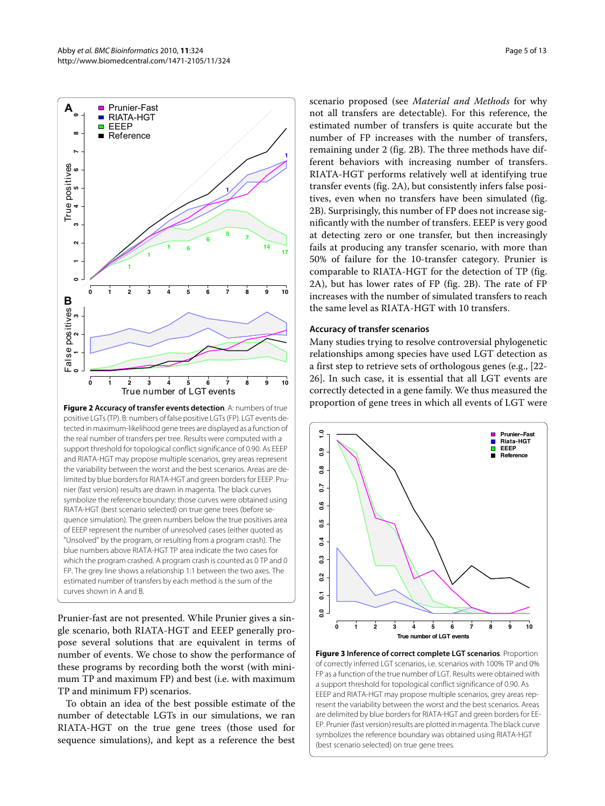

**Figure 2 Accuracy of transfer events detection**. A: numbers of true positive LGTs (TP). B: numbers of false positive LGTs (FP). LGT events detected in maximum-likelihood gene trees are displayed as a function of the real number of transfers per tree. Results were computed with a support threshold for topological conflict significance of 0.90. As EEEP and RIATA-HGT may propose multiple scenarios, grey areas represent the variability between the worst and the best scenarios. Areas are delimited by blue borders for RIATA-HGT and green borders for EEEP. Prunier (fast version) results are drawn in magenta. The black curves symbolize the reference boundary: those curves were obtained using RIATA-HGT (best scenario selected) on true gene trees (before sequence simulation). The green numbers below the true positives area of EEEP represent the number of unresolved cases (either quoted as "Unsolved" by the program, or resulting from a program crash). The blue numbers above RIATA-HGT TP area indicate the two cases for which the program crashed. A program crash is counted as 0 TP and 0 FP. The grey line shows a relationship 1:1 between the two axes. The estimated number of transfers by each method is the sum of the curves shown in A and B. -

Prunier-fast are not presented. While Prunier gives a single scenario, both RIATA-HGT and EEEP generally propose several solutions that are equivalent in terms of number of events. We chose to show the performance of these programs by recording both the worst (with minimum TP and maximum FP) and best (i.e. with maximum TP and minimum FP) scenarios.

To obtain an idea of the best possible estimate of the number of detectable LGTs in our simulations, we ran RIATA-HGT on the true gene trees (those used for sequence simulations), and kept as a reference the best scenario proposed (see Material and Methods for why not all transfers are detectable). For this reference, the estimated number of transfers is quite accurate but the number of FP increases with the number of transfers, remaining under 2 (fig. 2B). The three methods have different behaviors with increasing number of transfers. RIATA-HGT performs relatively well at identifying true transfer events (fig. 2A), but consistently infers false positives, even when no transfers have been simulated (fig. 2B). Surprisingly, this number of FP does not increase significantly with the number of transfers. EEEP is very good at detecting zero or one transfer, but then increasingly fails at producing any transfer scenario, with more than 50% of failure for the 10-transfer category. Prunier is comparable to RIATA-HGT for the detection of TP (fig. 2A), but has lower rates of FP (fig. 2B). The rate of FP increases with the number of simulated transfers to reach the same level as RIATA-HGT with 10 transfers.

#### **Accuracy of transfer scenarios**

Many studies trying to resolve controversial phylogenetic relationships among species have used LGT detection as a first step to retrieve sets of orthologous genes (e.g., [22- 26]. In such case, it is essential that all LGT events are correctly detected in a gene family. We thus measured the proportion of gene trees in which all events of LGT were



**Figure 3 Inference of correct complete LGT scenarios**. Proportion of correctly inferred LGT scenarios, i.e. scenarios with 100% TP and 0% FP as a function of the true number of LGT. Results were obtained with a support threshold for topological conflict significance of 0.90. As EEEP and RIATA-HGT may propose multiple scenarios, grey areas represent the variability between the worst and the best scenarios. Areas are delimited by blue borders for RIATA-HGT and green borders for EE-EP. Prunier (fast version) results are plotted in magenta. The black curve symbolizes the reference boundary was obtained using RIATA-HGT (best scenario selected) on true gene trees.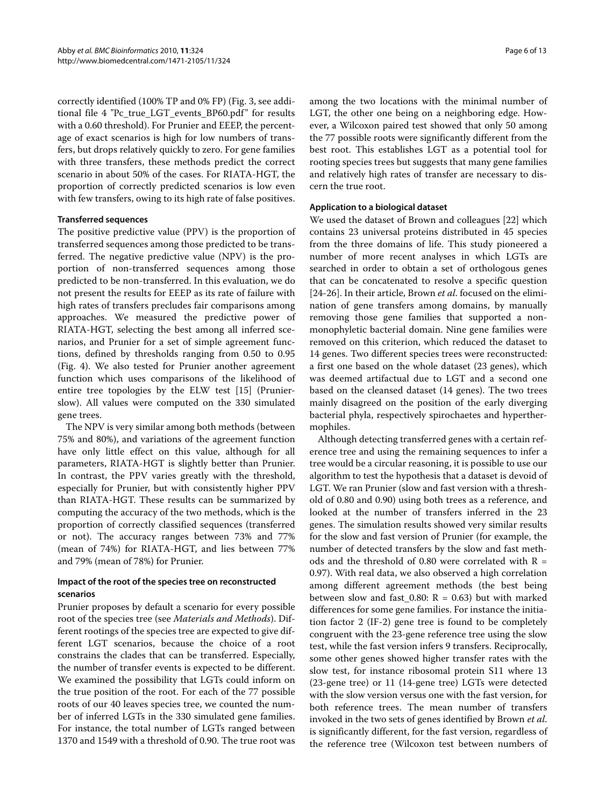correctly identified (100% TP and 0% FP) (Fig. 3, see additional file 4 "Pc\_true\_LGT\_events\_BP60.pdf" for results with a 0.60 threshold). For Prunier and EEEP, the percentage of exact scenarios is high for low numbers of transfers, but drops relatively quickly to zero. For gene families with three transfers, these methods predict the correct scenario in about 50% of the cases. For RIATA-HGT, the proportion of correctly predicted scenarios is low even with few transfers, owing to its high rate of false positives.

# **Transferred sequences**

The positive predictive value (PPV) is the proportion of transferred sequences among those predicted to be transferred. The negative predictive value (NPV) is the proportion of non-transferred sequences among those predicted to be non-transferred. In this evaluation, we do not present the results for EEEP as its rate of failure with high rates of transfers precludes fair comparisons among approaches. We measured the predictive power of RIATA-HGT, selecting the best among all inferred scenarios, and Prunier for a set of simple agreement functions, defined by thresholds ranging from 0.50 to 0.95 (Fig. 4). We also tested for Prunier another agreement function which uses comparisons of the likelihood of entire tree topologies by the ELW test [15] (Prunierslow). All values were computed on the 330 simulated gene trees.

The NPV is very similar among both methods (between 75% and 80%), and variations of the agreement function have only little effect on this value, although for all parameters, RIATA-HGT is slightly better than Prunier. In contrast, the PPV varies greatly with the threshold, especially for Prunier, but with consistently higher PPV than RIATA-HGT. These results can be summarized by computing the accuracy of the two methods, which is the proportion of correctly classified sequences (transferred or not). The accuracy ranges between 73% and 77% (mean of 74%) for RIATA-HGT, and lies between 77% and 79% (mean of 78%) for Prunier.

# **Impact of the root of the species tree on reconstructed scenarios**

Prunier proposes by default a scenario for every possible root of the species tree (see Materials and Methods). Different rootings of the species tree are expected to give different LGT scenarios, because the choice of a root constrains the clades that can be transferred. Especially, the number of transfer events is expected to be different. We examined the possibility that LGTs could inform on the true position of the root. For each of the 77 possible roots of our 40 leaves species tree, we counted the number of inferred LGTs in the 330 simulated gene families. For instance, the total number of LGTs ranged between 1370 and 1549 with a threshold of 0.90. The true root was

among the two locations with the minimal number of LGT, the other one being on a neighboring edge. However, a Wilcoxon paired test showed that only 50 among the 77 possible roots were significantly different from the best root. This establishes LGT as a potential tool for rooting species trees but suggests that many gene families and relatively high rates of transfer are necessary to discern the true root.

# **Application to a biological dataset**

We used the dataset of Brown and colleagues [22] which contains 23 universal proteins distributed in 45 species from the three domains of life. This study pioneered a number of more recent analyses in which LGTs are searched in order to obtain a set of orthologous genes that can be concatenated to resolve a specific question [24-26]. In their article, Brown et al. focused on the elimination of gene transfers among domains, by manually removing those gene families that supported a nonmonophyletic bacterial domain. Nine gene families were removed on this criterion, which reduced the dataset to 14 genes. Two different species trees were reconstructed: a first one based on the whole dataset (23 genes), which was deemed artifactual due to LGT and a second one based on the cleansed dataset (14 genes). The two trees mainly disagreed on the position of the early diverging bacterial phyla, respectively spirochaetes and hyperthermophiles.

Although detecting transferred genes with a certain reference tree and using the remaining sequences to infer a tree would be a circular reasoning, it is possible to use our algorithm to test the hypothesis that a dataset is devoid of LGT. We ran Prunier (slow and fast version with a threshold of 0.80 and 0.90) using both trees as a reference, and looked at the number of transfers inferred in the 23 genes. The simulation results showed very similar results for the slow and fast version of Prunier (for example, the number of detected transfers by the slow and fast methods and the threshold of 0.80 were correlated with  $R =$ 0.97). With real data, we also observed a high correlation among different agreement methods (the best being between slow and fast  $0.80: R = 0.63$ ) but with marked differences for some gene families. For instance the initiation factor 2 (IF-2) gene tree is found to be completely congruent with the 23-gene reference tree using the slow test, while the fast version infers 9 transfers. Reciprocally, some other genes showed higher transfer rates with the slow test, for instance ribosomal protein S11 where 13 (23-gene tree) or 11 (14-gene tree) LGTs were detected with the slow version versus one with the fast version, for both reference trees. The mean number of transfers invoked in the two sets of genes identified by Brown et al. is significantly different, for the fast version, regardless of the reference tree (Wilcoxon test between numbers of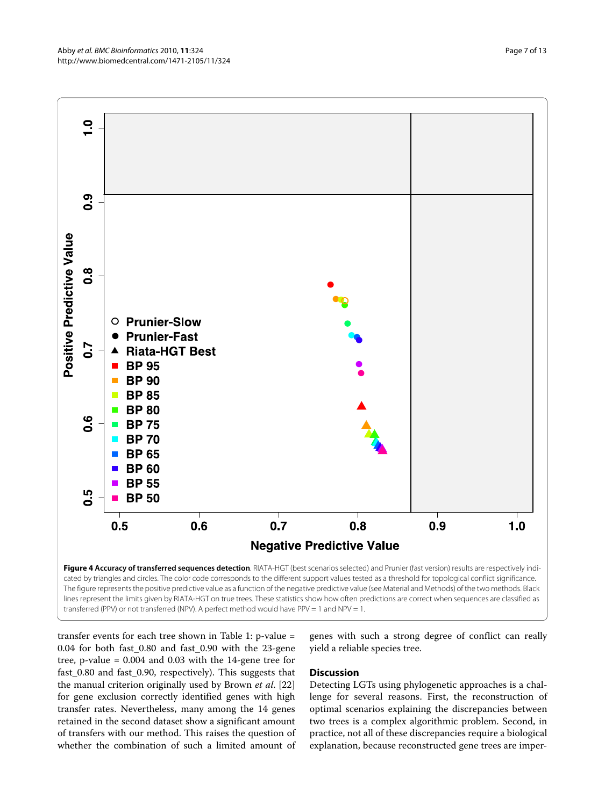

The figure represents the positive predictive value as a function of the negative predictive value (see Material and Methods) of the two methods. Black lines represent the limits given by RIATA-HGT on true trees. These statistics show how often predictions are correct when sequences are classified as transferred (PPV) or not transferred (NPV). A perfect method would have PPV = 1 and NPV = 1.

transfer events for each tree shown in Table 1: p-value = 0.04 for both fast\_0.80 and fast\_0.90 with the 23-gene tree, p-value = 0.004 and 0.03 with the 14-gene tree for fast\_0.80 and fast\_0.90, respectively). This suggests that the manual criterion originally used by Brown et al. [22] for gene exclusion correctly identified genes with high transfer rates. Nevertheless, many among the 14 genes retained in the second dataset show a significant amount of transfers with our method. This raises the question of whether the combination of such a limited amount of

genes with such a strong degree of conflict can really yield a reliable species tree.

## **Discussion**

Detecting LGTs using phylogenetic approaches is a challenge for several reasons. First, the reconstruction of optimal scenarios explaining the discrepancies between two trees is a complex algorithmic problem. Second, in practice, not all of these discrepancies require a biological explanation, because reconstructed gene trees are imper-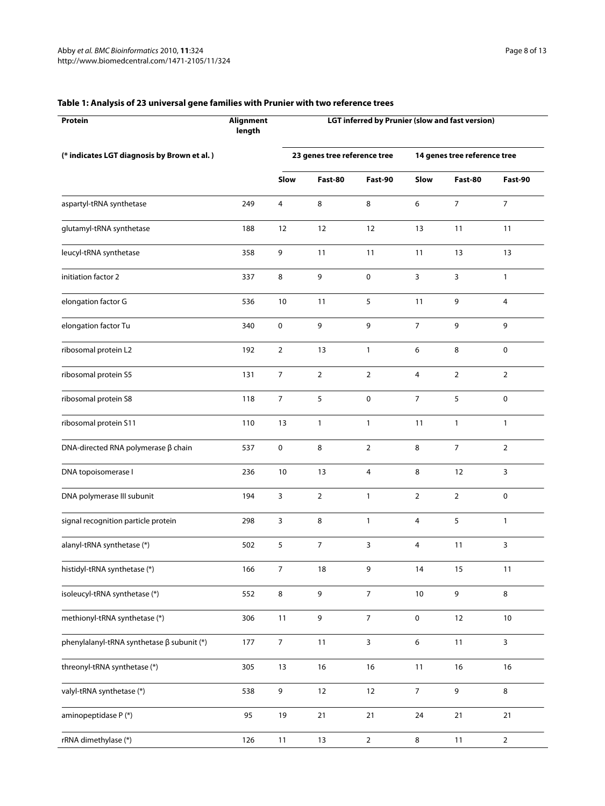# **Table 1: Analysis of 23 universal gene families with Prunier with two reference trees**

| Protein                                          | <b>Alignment</b><br>length | <b>LGT inferred by Prunier (slow and fast version)</b> |                |                  |                              |                |                |
|--------------------------------------------------|----------------------------|--------------------------------------------------------|----------------|------------------|------------------------------|----------------|----------------|
| (* indicates LGT diagnosis by Brown et al.)      |                            | 23 genes tree reference tree                           |                |                  | 14 genes tree reference tree |                |                |
|                                                  |                            | Slow                                                   | Fast-80        | Fast-90          | Slow                         | Fast-80        | Fast-90        |
| aspartyl-tRNA synthetase                         | 249                        | 4                                                      | 8              | 8                | 6                            | $\overline{7}$ | 7              |
| glutamyl-tRNA synthetase                         | 188                        | 12                                                     | 12             | 12               | 13                           | 11             | 11             |
| leucyl-tRNA synthetase                           | 358                        | 9                                                      | 11             | 11               | 11                           | 13             | 13             |
| initiation factor 2                              | 337                        | 8                                                      | 9              | $\pmb{0}$        | 3                            | $\overline{3}$ | $\mathbf{1}$   |
| elongation factor G                              | 536                        | 10                                                     | 11             | 5                | 11                           | 9              | 4              |
| elongation factor Tu                             | 340                        | $\mathbf 0$                                            | 9              | 9                | $\overline{7}$               | $\overline{9}$ | 9              |
| ribosomal protein L2                             | 192                        | $\overline{2}$                                         | 13             | $\mathbf{1}$     | 6                            | 8              | $\mathbf 0$    |
| ribosomal protein S5                             | 131                        | $\overline{7}$                                         | $\overline{2}$ | $\overline{2}$   | 4                            | $\overline{2}$ | $\overline{2}$ |
| ribosomal protein S8                             | 118                        | $\overline{7}$                                         | 5              | $\pmb{0}$        | $\overline{7}$               | 5              | $\mathbf 0$    |
| ribosomal protein S11                            | 110                        | 13                                                     | $\mathbf{1}$   | $\mathbf{1}$     | 11                           | $\mathbf{1}$   | $\mathbf{1}$   |
| DNA-directed RNA polymerase β chain              | 537                        | $\mathbf 0$                                            | 8              | $\overline{2}$   | 8                            | $\overline{7}$ | $\overline{2}$ |
| DNA topoisomerase I                              | 236                        | 10                                                     | 13             | $\overline{4}$   | 8                            | 12             | $\mathbf{3}$   |
| DNA polymerase III subunit                       | 194                        | $\overline{3}$                                         | $\overline{2}$ | $\mathbf{1}$     | $\overline{2}$               | $\overline{2}$ | $\mathbf 0$    |
| signal recognition particle protein              | 298                        | 3                                                      | 8              | $\mathbf{1}$     | 4                            | 5              | $\mathbf{1}$   |
| alanyl-tRNA synthetase (*)                       | 502                        | 5                                                      | 7              | 3                | 4                            | 11             | 3              |
| histidyl-tRNA synthetase (*)                     | 166                        | 7                                                      | 18             | 9                | 14                           | 15             | 11             |
| isoleucyl-tRNA synthetase (*)                    | 552                        | $\bf 8$                                                | 9              | $\overline{7}$   | $10\,$                       | 9              | $\,8\,$        |
| methionyl-tRNA synthetase (*)                    | 306                        | 11                                                     | 9              | $\boldsymbol{7}$ | $\pmb{0}$                    | $12\,$         | $10\,$         |
| phenylalanyl-tRNA synthetase $\beta$ subunit (*) | 177                        | $\overline{7}$                                         | 11             | $\mathsf{3}$     | 6                            | 11             | $\mathbf{3}$   |
| threonyl-tRNA synthetase (*)                     | 305                        | 13                                                     | 16             | 16               | 11                           | 16             | 16             |
| valyl-tRNA synthetase (*)                        | 538                        | 9                                                      | 12             | $12\,$           | $\overline{7}$               | 9              | $\bf 8$        |
| aminopeptidase P (*)                             | 95                         | 19                                                     | 21             | 21               | 24                           | 21             | 21             |
| rRNA dimethylase (*)                             | 126                        | 11                                                     | 13             | $\mathbf 2$      | $\bf 8$                      | 11             | $\overline{2}$ |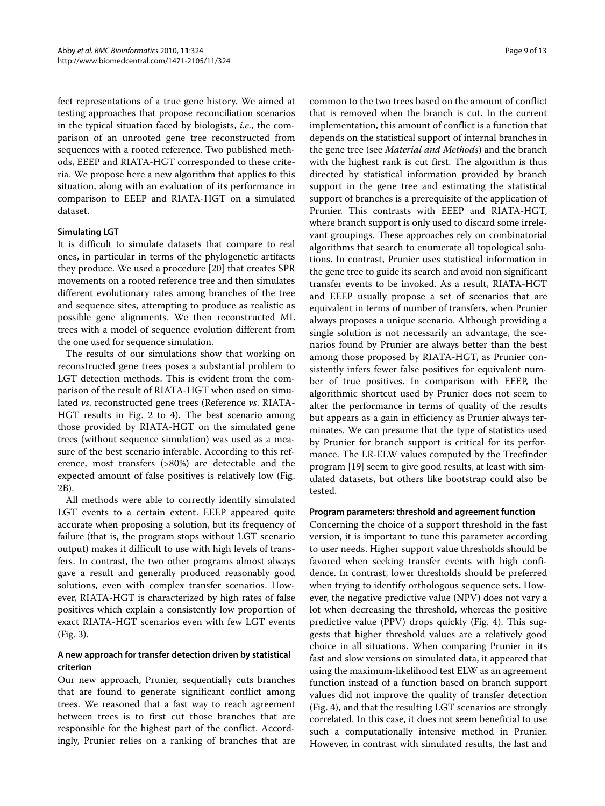fect representations of a true gene history. We aimed at testing approaches that propose reconciliation scenarios in the typical situation faced by biologists, i.e., the comparison of an unrooted gene tree reconstructed from sequences with a rooted reference. Two published methods, EEEP and RIATA-HGT corresponded to these criteria. We propose here a new algorithm that applies to this situation, along with an evaluation of its performance in comparison to EEEP and RIATA-HGT on a simulated dataset.

# **Simulating LGT**

It is difficult to simulate datasets that compare to real ones, in particular in terms of the phylogenetic artifacts they produce. We used a procedure [20] that creates SPR movements on a rooted reference tree and then simulates different evolutionary rates among branches of the tree and sequence sites, attempting to produce as realistic as possible gene alignments. We then reconstructed ML trees with a model of sequence evolution different from the one used for sequence simulation.

The results of our simulations show that working on reconstructed gene trees poses a substantial problem to LGT detection methods. This is evident from the comparison of the result of RIATA-HGT when used on simulated vs. reconstructed gene trees (Reference vs. RIATA-HGT results in Fig. 2 to 4). The best scenario among those provided by RIATA-HGT on the simulated gene trees (without sequence simulation) was used as a measure of the best scenario inferable. According to this reference, most transfers (>80%) are detectable and the expected amount of false positives is relatively low (Fig. 2B).

All methods were able to correctly identify simulated LGT events to a certain extent. EEEP appeared quite accurate when proposing a solution, but its frequency of failure (that is, the program stops without LGT scenario output) makes it difficult to use with high levels of transfers. In contrast, the two other programs almost always gave a result and generally produced reasonably good solutions, even with complex transfer scenarios. However, RIATA-HGT is characterized by high rates of false positives which explain a consistently low proportion of exact RIATA-HGT scenarios even with few LGT events (Fig. 3).

# **A new approach for transfer detection driven by statistical criterion**

Our new approach, Prunier, sequentially cuts branches that are found to generate significant conflict among trees. We reasoned that a fast way to reach agreement between trees is to first cut those branches that are responsible for the highest part of the conflict. Accordingly, Prunier relies on a ranking of branches that are common to the two trees based on the amount of conflict that is removed when the branch is cut. In the current implementation, this amount of conflict is a function that depends on the statistical support of internal branches in the gene tree (see Material and Methods) and the branch with the highest rank is cut first. The algorithm is thus directed by statistical information provided by branch support in the gene tree and estimating the statistical support of branches is a prerequisite of the application of Prunier. This contrasts with EEEP and RIATA-HGT, where branch support is only used to discard some irrelevant groupings. These approaches rely on combinatorial algorithms that search to enumerate all topological solutions. In contrast, Prunier uses statistical information in the gene tree to guide its search and avoid non significant transfer events to be invoked. As a result, RIATA-HGT and EEEP usually propose a set of scenarios that are equivalent in terms of number of transfers, when Prunier always proposes a unique scenario. Although providing a single solution is not necessarily an advantage, the scenarios found by Prunier are always better than the best among those proposed by RIATA-HGT, as Prunier consistently infers fewer false positives for equivalent number of true positives. In comparison with EEEP, the algorithmic shortcut used by Prunier does not seem to alter the performance in terms of quality of the results but appears as a gain in efficiency as Prunier always terminates. We can presume that the type of statistics used by Prunier for branch support is critical for its performance. The LR-ELW values computed by the Treefinder program [19] seem to give good results, at least with simulated datasets, but others like bootstrap could also be tested.

#### **Program parameters: threshold and agreement function**

Concerning the choice of a support threshold in the fast version, it is important to tune this parameter according to user needs. Higher support value thresholds should be favored when seeking transfer events with high confidence. In contrast, lower thresholds should be preferred when trying to identify orthologous sequence sets. However, the negative predictive value (NPV) does not vary a lot when decreasing the threshold, whereas the positive predictive value (PPV) drops quickly (Fig. 4). This suggests that higher threshold values are a relatively good choice in all situations. When comparing Prunier in its fast and slow versions on simulated data, it appeared that using the maximum-likelihood test ELW as an agreement function instead of a function based on branch support values did not improve the quality of transfer detection (Fig. 4), and that the resulting LGT scenarios are strongly correlated. In this case, it does not seem beneficial to use such a computationally intensive method in Prunier. However, in contrast with simulated results, the fast and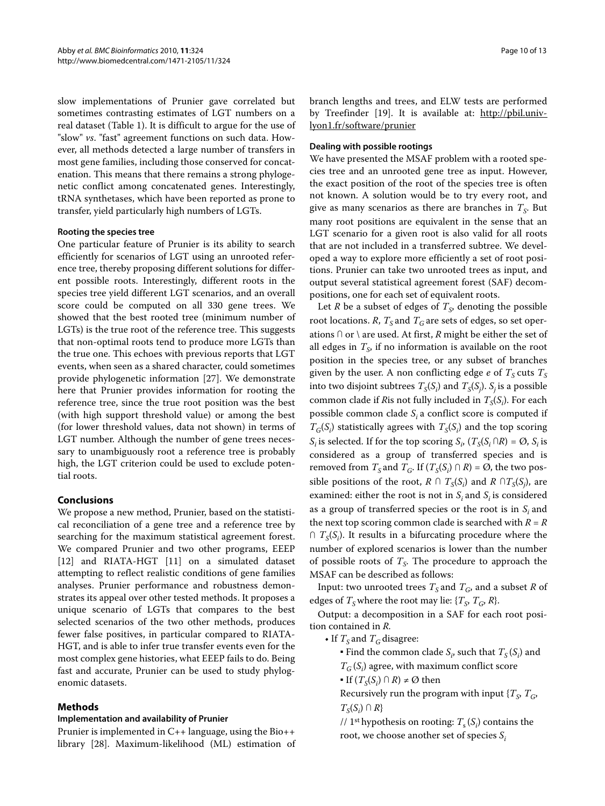slow implementations of Prunier gave correlated but sometimes contrasting estimates of LGT numbers on a real dataset (Table 1). It is difficult to argue for the use of "slow" vs. "fast" agreement functions on such data. However, all methods detected a large number of transfers in most gene families, including those conserved for concatenation. This means that there remains a strong phylogenetic conflict among concatenated genes. Interestingly, tRNA synthetases, which have been reported as prone to transfer, yield particularly high numbers of LGTs.

## **Rooting the species tree**

One particular feature of Prunier is its ability to search efficiently for scenarios of LGT using an unrooted reference tree, thereby proposing different solutions for different possible roots. Interestingly, different roots in the species tree yield different LGT scenarios, and an overall score could be computed on all 330 gene trees. We showed that the best rooted tree (minimum number of LGTs) is the true root of the reference tree. This suggests that non-optimal roots tend to produce more LGTs than the true one. This echoes with previous reports that LGT events, when seen as a shared character, could sometimes provide phylogenetic information [27]. We demonstrate here that Prunier provides information for rooting the reference tree, since the true root position was the best (with high support threshold value) or among the best (for lower threshold values, data not shown) in terms of LGT number. Although the number of gene trees necessary to unambiguously root a reference tree is probably high, the LGT criterion could be used to exclude potential roots.

# **Conclusions**

We propose a new method, Prunier, based on the statistical reconciliation of a gene tree and a reference tree by searching for the maximum statistical agreement forest. We compared Prunier and two other programs, EEEP [12] and RIATA-HGT [11] on a simulated dataset attempting to reflect realistic conditions of gene families analyses. Prunier performance and robustness demonstrates its appeal over other tested methods. It proposes a unique scenario of LGTs that compares to the best selected scenarios of the two other methods, produces fewer false positives, in particular compared to RIATA-HGT, and is able to infer true transfer events even for the most complex gene histories, what EEEP fails to do. Being fast and accurate, Prunier can be used to study phylogenomic datasets.

# **Methods**

#### **Implementation and availability of Prunier**

Prunier is implemented in C++ language, using the Bio++ library [28]. Maximum-likelihood (ML) estimation of branch lengths and trees, and ELW tests are performed by Treefinder [19]. It is available at: [http://pbil.univ](http://pbil.univ-lyon1.fr/software/prunier)[lyon1.fr/software/prunier](http://pbil.univ-lyon1.fr/software/prunier)

#### **Dealing with possible rootings**

We have presented the MSAF problem with a rooted species tree and an unrooted gene tree as input. However, the exact position of the root of the species tree is often not known. A solution would be to try every root, and give as many scenarios as there are branches in  $T<sub>S</sub>$ . But many root positions are equivalent in the sense that an LGT scenario for a given root is also valid for all roots that are not included in a transferred subtree. We developed a way to explore more efficiently a set of root positions. Prunier can take two unrooted trees as input, and output several statistical agreement forest (SAF) decompositions, one for each set of equivalent roots.

Let R be a subset of edges of  $T<sub>S</sub>$ , denoting the possible root locations. R,  $T_S$  and  $T_G$  are sets of edges, so set operations  $\cap$  or  $\setminus$  are used. At first,  $R$  might be either the set of all edges in  $T<sub>S</sub>$ , if no information is available on the root position in the species tree, or any subset of branches given by the user. A non conflicting edge e of  $T_S$  cuts  $T_S$ into two disjoint subtrees  $T_{\mathcal{S}}(S_i)$  and  $T_{\mathcal{S}}(S_j)$ .  $S_j$  is a possible common clade if Ris not fully included in  $T_{S}(S_{i})$ . For each possible common clade  $S_i$  a conflict score is computed if  $T_G(S_i)$  statistically agrees with  $T_S(S_i)$  and the top scoring  $S_i$  is selected. If for the top scoring  $S_i$ ,  $(T_S(S_i \cap R) = \emptyset$ ,  $S_i$  is considered as a group of transferred species and is removed from  $T_S$  and  $T_G$ . If  $(T_S(S_i) \cap R) = \emptyset$ , the two possible positions of the root,  $R \cap T_{\mathcal{S}}(S_i)$  and  $R \cap T_{\mathcal{S}}(S_j)$ , are examined: either the root is not in  $S_i$  and  $S_j$  is considered as a group of transferred species or the root is in  $S_i$  and the next top scoring common clade is searched with  $R = R$  $\cap$   $T_S(S_i)$ . It results in a bifurcating procedure where the number of explored scenarios is lower than the number of possible roots of  $T<sub>S</sub>$ . The procedure to approach the MSAF can be described as follows:

Input: two unrooted trees  $T_S$  and  $T_G$ , and a subset R of edges of  $T_S$  where the root may lie:  $\{T_S, T_G, R\}$ .

Output: a decomposition in a SAF for each root position contained in R.

• If  $T_S$  and  $T_G$  disagree:

**•** Find the common clade  $S_i$ , such that  $T_S(S_i)$  and  $T_G(S_i)$  agree, with maximum conflict score

• If  $(T_S(S_i) \cap R) \neq \emptyset$  then

Recursively run the program with input  ${T_S, T_G}$ ,  $T_S(S_i) \cap R$ 

// 1<sup>st</sup> hypothesis on rooting:  $T_s(S_i)$  contains the root, we choose another set of species  $S_i$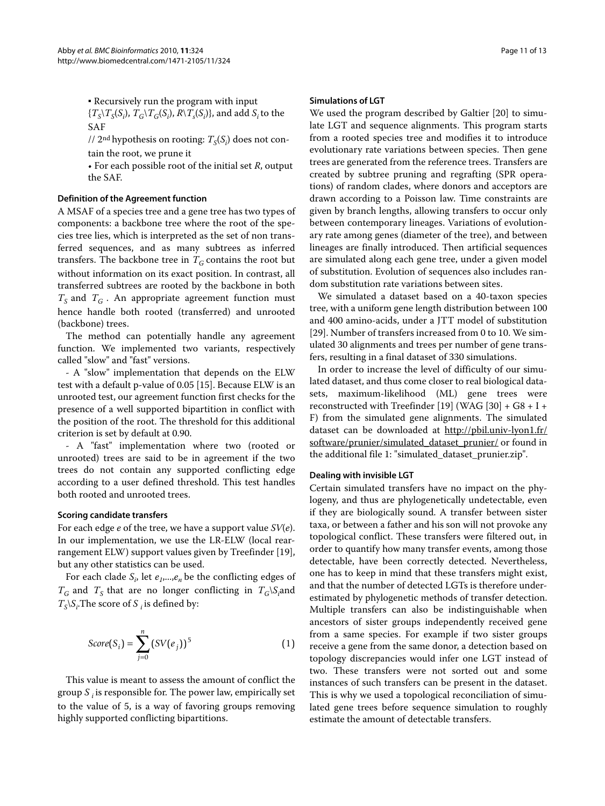▪ Recursively run the program with input  $\{T_{\mathcal{S}}\backslash T_{\mathcal{S}}(S_i), T_{\mathcal{G}}\backslash T_{\mathcal{G}}(S_i), R\backslash T_{\mathcal{S}}(S_i)\}$ , and add  $S_i$  to the SAF

// 2<sup>nd</sup> hypothesis on rooting:  $T_S(S_i)$  does not contain the root, we prune it

• For each possible root of the initial set  $R$ , output the SAF.

# **Definition of the Agreement function**

A MSAF of a species tree and a gene tree has two types of components: a backbone tree where the root of the species tree lies, which is interpreted as the set of non transferred sequences, and as many subtrees as inferred transfers. The backbone tree in  $T_G$  contains the root but without information on its exact position. In contrast, all transferred subtrees are rooted by the backbone in both  $T_S$  and  $T_G$ . An appropriate agreement function must hence handle both rooted (transferred) and unrooted (backbone) trees.

The method can potentially handle any agreement function. We implemented two variants, respectively called "slow" and "fast" versions.

- A "slow" implementation that depends on the ELW test with a default p-value of 0.05 [15]. Because ELW is an unrooted test, our agreement function first checks for the presence of a well supported bipartition in conflict with the position of the root. The threshold for this additional criterion is set by default at 0.90.

- A "fast" implementation where two (rooted or unrooted) trees are said to be in agreement if the two trees do not contain any supported conflicting edge according to a user defined threshold. This test handles both rooted and unrooted trees.

# **Scoring candidate transfers**

For each edge  $e$  of the tree, we have a support value  $SV(e)$ . In our implementation, we use the LR-ELW (local rearrangement ELW) support values given by Treefinder [19], but any other statistics can be used.

For each clade  $S_i$ , let  $e_1$ ,..., $e_n$  be the conflicting edges of  $T_G$  and  $T_S$  that are no longer conflicting in  $T_G\setminus S_i$  and  $T_S \setminus S_i$ . The score of S  $_i$  is defined by:

$$
Score(S_i) = \sum_{j=0}^{n} (SV(e_j))^5
$$
 (1)

This value is meant to assess the amount of conflict the group  $S_i$  is responsible for. The power law, empirically set to the value of 5, is a way of favoring groups removing highly supported conflicting bipartitions.

# **Simulations of LGT**

We used the program described by Galtier [20] to simulate LGT and sequence alignments. This program starts from a rooted species tree and modifies it to introduce evolutionary rate variations between species. Then gene trees are generated from the reference trees. Transfers are created by subtree pruning and regrafting (SPR operations) of random clades, where donors and acceptors are drawn according to a Poisson law. Time constraints are given by branch lengths, allowing transfers to occur only between contemporary lineages. Variations of evolutionary rate among genes (diameter of the tree), and between lineages are finally introduced. Then artificial sequences are simulated along each gene tree, under a given model of substitution. Evolution of sequences also includes random substitution rate variations between sites.

We simulated a dataset based on a 40-taxon species tree, with a uniform gene length distribution between 100 and 400 amino-acids, under a JTT model of substitution [29]. Number of transfers increased from 0 to 10. We simulated 30 alignments and trees per number of gene transfers, resulting in a final dataset of 330 simulations.

In order to increase the level of difficulty of our simulated dataset, and thus come closer to real biological datasets, maximum-likelihood (ML) gene trees were reconstructed with Treefinder [19] (WAG [30] + G8 + I + F) from the simulated gene alignments. The simulated dataset can be downloaded at [http://pbil.univ-lyon1.fr/](http://pbil.univ-lyon1.fr/software/prunier/simulated_dataset_prunier/) [software/prunier/simulated\\_dataset\\_prunier/](http://pbil.univ-lyon1.fr/software/prunier/simulated_dataset_prunier/) or found in the additional file 1: "simulated\_dataset\_prunier.zip".

#### **Dealing with invisible LGT**

Certain simulated transfers have no impact on the phylogeny, and thus are phylogenetically undetectable, even if they are biologically sound. A transfer between sister taxa, or between a father and his son will not provoke any topological conflict. These transfers were filtered out, in order to quantify how many transfer events, among those detectable, have been correctly detected. Nevertheless, one has to keep in mind that these transfers might exist, and that the number of detected LGTs is therefore underestimated by phylogenetic methods of transfer detection. Multiple transfers can also be indistinguishable when ancestors of sister groups independently received gene from a same species. For example if two sister groups receive a gene from the same donor, a detection based on topology discrepancies would infer one LGT instead of two. These transfers were not sorted out and some instances of such transfers can be present in the dataset. This is why we used a topological reconciliation of simulated gene trees before sequence simulation to roughly estimate the amount of detectable transfers.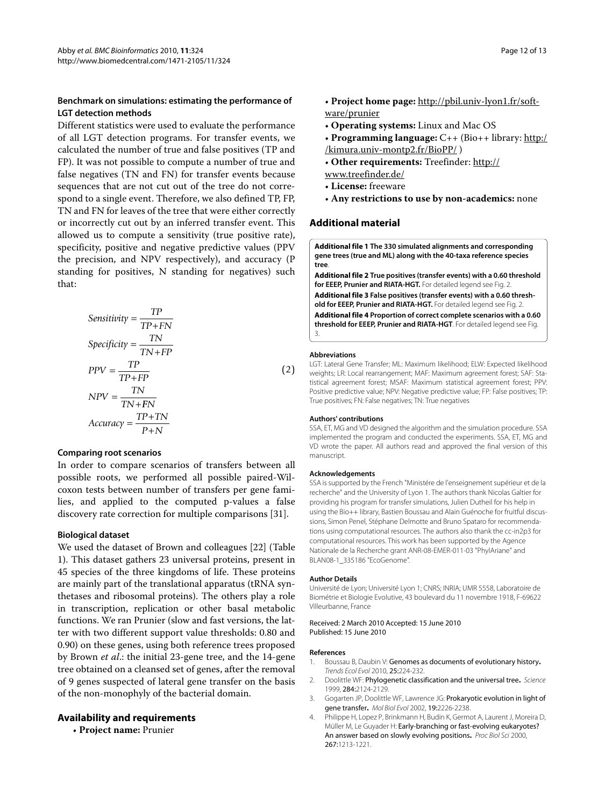# **Benchmark on simulations: estimating the performance of LGT detection methods**

Different statistics were used to evaluate the performance of all LGT detection programs. For transfer events, we calculated the number of true and false positives (TP and FP). It was not possible to compute a number of true and false negatives (TN and FN) for transfer events because sequences that are not cut out of the tree do not correspond to a single event. Therefore, we also defined TP, FP, TN and FN for leaves of the tree that were either correctly or incorrectly cut out by an inferred transfer event. This allowed us to compute a sensitivity (true positive rate), specificity, positive and negative predictive values (PPV the precision, and NPV respectively), and accuracy (P standing for positives, N standing for negatives) such that:

$$
Sensitivity = \frac{TP}{TP + FN}
$$
\n
$$
Specificity = \frac{TN}{TN + FP}
$$
\n
$$
PPV = \frac{TP}{TP + FP}
$$
\n
$$
NPV = \frac{TN}{TN + FN}
$$
\n
$$
Accuracy = \frac{TP + TN}{P + N}
$$
\n(2)

#### **Comparing root scenarios**

In order to compare scenarios of transfers between all possible roots, we performed all possible paired-Wilcoxon tests between number of transfers per gene families, and applied to the computed p-values a false discovery rate correction for multiple comparisons [31].

#### **Biological dataset**

We used the dataset of Brown and colleagues [22] (Table 1). This dataset gathers 23 universal proteins, present in 45 species of the three kingdoms of life. These proteins are mainly part of the translational apparatus (tRNA synthetases and ribosomal proteins). The others play a role in transcription, replication or other basal metabolic functions. We ran Prunier (slow and fast versions, the latter with two different support value thresholds: 0.80 and 0.90) on these genes, using both reference trees proposed by Brown et al.: the initial 23-gene tree, and the 14-gene tree obtained on a cleansed set of genes, after the removal of 9 genes suspected of lateral gene transfer on the basis of the non-monophyly of the bacterial domain.

#### **Availability and requirements**

• **Project name:** Prunier

- **Project home page:** [http://pbil.univ-lyon1.fr/soft](http://pbil.univ-lyon1.fr/software/prunier)[ware/prunier](http://pbil.univ-lyon1.fr/software/prunier)
- **Operating systems:** Linux and Mac OS
- **Programming language:** C++ (Bio++ library: [http:/](http://kimura.univ-montp2.fr/BioPP/) [/kimura.univ-montp2.fr/BioPP/](http://kimura.univ-montp2.fr/BioPP/) )
- **Other requirements:** Treefinder: [http://](http://www.treefinder.de/)
- [www.treefinder.de/](http://www.treefinder.de/)
- **License:** freeware
- **Any restrictions to use by non-academics:** none

# **Additional material**

**[Additional file 1](http://www.biomedcentral.com/content/supplementary/1471-2105-11-324-S1.ZIP) The 330 simulated alignments and corresponding gene trees (true and ML) along with the 40-taxa reference species tree**.

**[Additional file 2](http://www.biomedcentral.com/content/supplementary/1471-2105-11-324-S2.PDF) True positives (transfer events) with a 0.60 threshold for EEEP, Prunier and RIATA-HGT.** For detailed legend see Fig. 2.

**[Additional file 3](http://www.biomedcentral.com/content/supplementary/1471-2105-11-324-S3.PDF) False positives (transfer events) with a 0.60 threshold for EEEP, Prunier and RIATA-HGT.** For detailed legend see Fig. 2.

**[Additional file 4](http://www.biomedcentral.com/content/supplementary/1471-2105-11-324-S4.PDF) Proportion of correct complete scenarios with a 0.60 threshold for EEEP, Prunier and RIATA-HGT**. For detailed legend see Fig. 3.

#### **Abbreviations**

LGT: Lateral Gene Transfer; ML: Maximum likelihood; ELW: Expected likelihood weights; LR: Local rearrangement; MAF: Maximum agreement forest; SAF: Statistical agreement forest; MSAF: Maximum statistical agreement forest; PPV: Positive predictive value; NPV: Negative predictive value; FP: False positives; TP: True positives; FN: False negatives; TN: True negatives

#### **Authors' contributions**

SSA, ET, MG and VD designed the algorithm and the simulation procedure. SSA implemented the program and conducted the experiments. SSA, ET, MG and VD wrote the paper. All authors read and approved the final version of this manuscript.

#### **Acknowledgements**

SSA is supported by the French "Ministére de l'enseignement supérieur et de la recherche" and the University of Lyon 1. The authors thank Nicolas Galtier for providing his program for transfer simulations, Julien Dutheil for his help in using the Bio++ library, Bastien Boussau and Alain Guénoche for fruitful discussions, Simon Penel, Stéphane Delmotte and Bruno Spataro for recommendations using computational resources. The authors also thank the cc-in2p3 for computational resources. This work has been supported by the Agence Nationale de la Recherche grant ANR-08-EMER-011-03 "PhylAriane" and BLAN08-1\_335186 "EcoGenome".

#### **Author Details**

Université de Lyon; Université Lyon 1; CNRS; INRIA; UMR 5558, Laboratoire de Biométrie et Biologie Evolutive, 43 boulevard du 11 novembre 1918, F-69622 Villeurbanne, France

Received: 2 March 2010 Accepted: 15 June 2010 Published: 15 June 2010

#### **References**

- 1. Boussau B, Daubin V: Genomes as documents of evolutionary history**[.](http://www.ncbi.nlm.nih.gov/entrez/query.fcgi?cmd=Retrieve&db=PubMed&dopt=Abstract&list_uids=19880211)** Trends Ecol Evol 2010, 25:224-232.
- 2. Doolittle WF: Phylogenetic classification and the universal tree**.** Science 1999, 284:2124-2129.
- 3. Gogarten JP, Doolittle WF, Lawrence JG: Prokaryotic evolution in light of gene transfer**.** Mol Biol Evol 2002, 19:2226-2238.
- 4. Philippe H, Lopez P, Brinkmann H, Budin K, Germot A, Laurent J, Moreira D, Müller M, Le Guyader H: Early-branching or fast-evolving eukaryotes? An answer based on slowly evolving position[s](http://www.ncbi.nlm.nih.gov/entrez/query.fcgi?cmd=Retrieve&db=PubMed&dopt=Abstract&list_uids=10902687)**.** Proc Biol Sci 2000, 267:1213-1221.